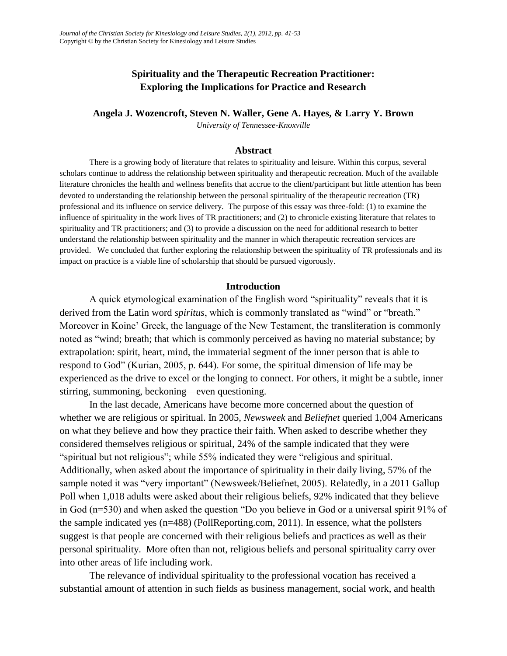# **Spirituality and the Therapeutic Recreation Practitioner: Exploring the Implications for Practice and Research**

**Angela J. Wozencroft, Steven N. Waller, Gene A. Hayes, & Larry Y. Brown**

*University of Tennessee-Knoxville*

#### **Abstract**

There is a growing body of literature that relates to spirituality and leisure. Within this corpus, several scholars continue to address the relationship between spirituality and therapeutic recreation. Much of the available literature chronicles the health and wellness benefits that accrue to the client/participant but little attention has been devoted to understanding the relationship between the personal spirituality of the therapeutic recreation (TR) professional and its influence on service delivery. The purpose of this essay was three-fold: (1) to examine the influence of spirituality in the work lives of TR practitioners; and (2) to chronicle existing literature that relates to spirituality and TR practitioners; and (3) to provide a discussion on the need for additional research to better understand the relationship between spirituality and the manner in which therapeutic recreation services are provided. We concluded that further exploring the relationship between the spirituality of TR professionals and its impact on practice is a viable line of scholarship that should be pursued vigorously.

### **Introduction**

A quick etymological examination of the English word "spirituality" reveals that it is derived from the Latin word *spiritus*, which is commonly translated as "wind" or "breath." Moreover in Koine' Greek, the language of the New Testament, the transliteration is commonly noted as "wind; breath; that which is commonly perceived as having no material substance; by extrapolation: spirit, heart, mind, the immaterial segment of the inner person that is able to respond to God" (Kurian, 2005, p. 644). For some, the spiritual dimension of life may be experienced as the drive to excel or the longing to connect. For others, it might be a subtle, inner stirring, summoning, beckoning—even questioning.

In the last decade, Americans have become more concerned about the question of whether we are religious or spiritual. In 2005, *Newsweek* and *Beliefnet* queried 1,004 Americans on what they believe and how they practice their faith. When asked to describe whether they considered themselves religious or spiritual, 24% of the sample indicated that they were "spiritual but not religious"; while 55% indicated they were "religious and spiritual. Additionally, when asked about the importance of spirituality in their daily living, 57% of the sample noted it was "very important" (Newsweek/Beliefnet, 2005). Relatedly, in a 2011 Gallup Poll when 1,018 adults were asked about their religious beliefs, 92% indicated that they believe in God ( $n=530$ ) and when asked the question "Do you believe in God or a universal spirit 91% of the sample indicated yes (n=488) (PollReporting.com, 2011). In essence, what the pollsters suggest is that people are concerned with their religious beliefs and practices as well as their personal spirituality. More often than not, religious beliefs and personal spirituality carry over into other areas of life including work.

The relevance of individual spirituality to the professional vocation has received a substantial amount of attention in such fields as business management, social work, and health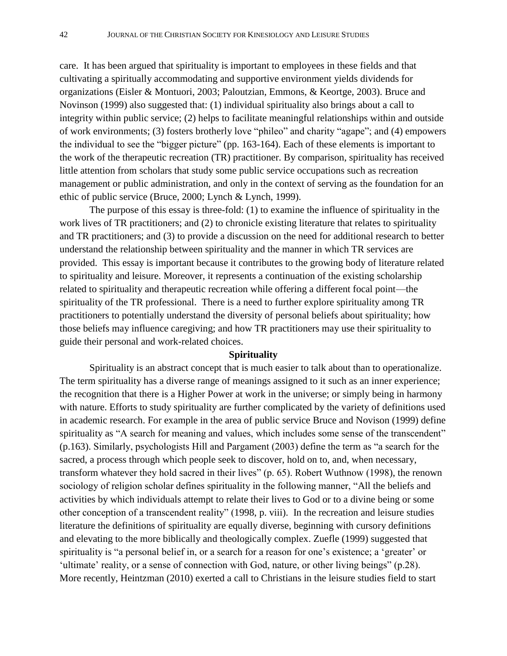care. It has been argued that spirituality is important to employees in these fields and that cultivating a spiritually accommodating and supportive environment yields dividends for organizations (Eisler & Montuori, 2003; Paloutzian, Emmons, & Keortge, 2003). Bruce and Novinson (1999) also suggested that: (1) individual spirituality also brings about a call to integrity within public service; (2) helps to facilitate meaningful relationships within and outside of work environments; (3) fosters brotherly love "phileo" and charity "agape"; and (4) empowers the individual to see the "bigger picture" (pp. 163-164). Each of these elements is important to the work of the therapeutic recreation (TR) practitioner. By comparison, spirituality has received little attention from scholars that study some public service occupations such as recreation management or public administration, and only in the context of serving as the foundation for an ethic of public service (Bruce, 2000; Lynch & Lynch, 1999).

The purpose of this essay is three-fold: (1) to examine the influence of spirituality in the work lives of TR practitioners; and (2) to chronicle existing literature that relates to spirituality and TR practitioners; and (3) to provide a discussion on the need for additional research to better understand the relationship between spirituality and the manner in which TR services are provided. This essay is important because it contributes to the growing body of literature related to spirituality and leisure. Moreover, it represents a continuation of the existing scholarship related to spirituality and therapeutic recreation while offering a different focal point—the spirituality of the TR professional. There is a need to further explore spirituality among TR practitioners to potentially understand the diversity of personal beliefs about spirituality; how those beliefs may influence caregiving; and how TR practitioners may use their spirituality to guide their personal and work-related choices.

#### **Spirituality**

Spirituality is an abstract concept that is much easier to talk about than to operationalize. The term spirituality has a diverse range of meanings assigned to it such as an inner experience; the recognition that there is a Higher Power at work in the universe; or simply being in harmony with nature. Efforts to study spirituality are further complicated by the variety of definitions used in academic research. For example in the area of public service Bruce and Novison (1999) define spirituality as "A search for meaning and values, which includes some sense of the transcendent"  $(p.163)$ . Similarly, psychologists Hill and Pargament  $(2003)$  define the term as "a search for the sacred, a process through which people seek to discover, hold on to, and, when necessary, transform whatever they hold sacred in their lives" (p. 65). Robert Wuthnow (1998), the renown sociology of religion scholar defines spirituality in the following manner, "All the beliefs and activities by which individuals attempt to relate their lives to God or to a divine being or some other conception of a transcendent reality" (1998, p. viii). In the recreation and leisure studies literature the definitions of spirituality are equally diverse, beginning with cursory definitions and elevating to the more biblically and theologically complex. Zuefle (1999) suggested that spirituality is "a personal belief in, or a search for a reason for one's existence; a 'greater' or 'ultimate' reality, or a sense of connection with God, nature, or other living beings" (p.28). More recently, Heintzman (2010) exerted a call to Christians in the leisure studies field to start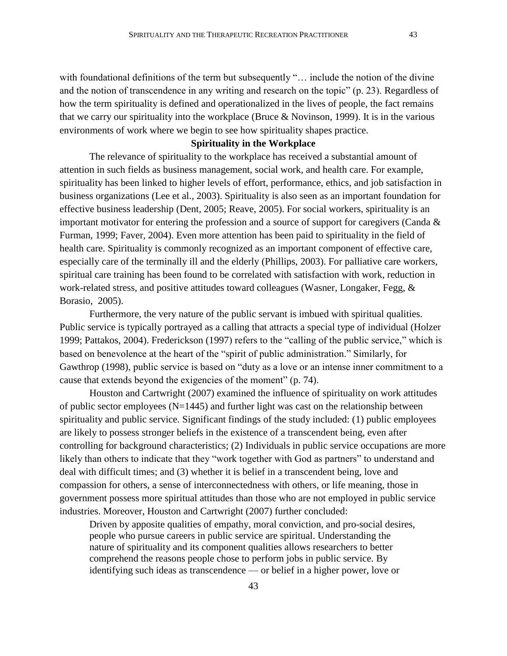with foundational definitions of the term but subsequently "... include the notion of the divine and the notion of transcendence in any writing and research on the topic" (p. 23). Regardless of how the term spirituality is defined and operationalized in the lives of people, the fact remains that we carry our spirituality into the workplace (Bruce & Novinson, 1999). It is in the various environments of work where we begin to see how spirituality shapes practice.

### **Spirituality in the Workplace**

The relevance of spirituality to the workplace has received a substantial amount of attention in such fields as business management, social work, and health care. For example, spirituality has been linked to higher levels of effort, performance, ethics, and job satisfaction in business organizations (Lee et al., 2003). Spirituality is also seen as an important foundation for effective business leadership (Dent, 2005; Reave, 2005). For social workers, spirituality is an important motivator for entering the profession and a source of support for caregivers (Canda & Furman, 1999; Faver, 2004). Even more attention has been paid to spirituality in the field of health care. Spirituality is commonly recognized as an important component of effective care, especially care of the terminally ill and the elderly (Phillips, 2003). For palliative care workers, spiritual care training has been found to be correlated with satisfaction with work, reduction in work-related stress, and positive attitudes toward colleagues (Wasner, Longaker, Fegg, & Borasio, 2005).

Furthermore, the very nature of the public servant is imbued with spiritual qualities. Public service is typically portrayed as a calling that attracts a special type of individual (Holzer 1999; Pattakos, 2004). Frederickson (1997) refers to the "calling of the public service," which is based on benevolence at the heart of the "spirit of public administration." Similarly, for Gawthrop (1998), public service is based on "duty as a love or an intense inner commitment to a cause that extends beyond the exigencies of the moment" (p. 74).

Houston and Cartwright (2007) examined the influence of spirituality on work attitudes of public sector employees (N=1445) and further light was cast on the relationship between spirituality and public service. Significant findings of the study included: (1) public employees are likely to possess stronger beliefs in the existence of a transcendent being, even after controlling for background characteristics; (2) Individuals in public service occupations are more likely than others to indicate that they "work together with God as partners" to understand and deal with difficult times; and (3) whether it is belief in a transcendent being, love and compassion for others, a sense of interconnectedness with others, or life meaning, those in government possess more spiritual attitudes than those who are not employed in public service industries. Moreover, Houston and Cartwright (2007) further concluded:

Driven by apposite qualities of empathy, moral conviction, and pro-social desires, people who pursue careers in public service are spiritual. Understanding the nature of spirituality and its component qualities allows researchers to better comprehend the reasons people chose to perform jobs in public service. By identifying such ideas as transcendence — or belief in a higher power, love or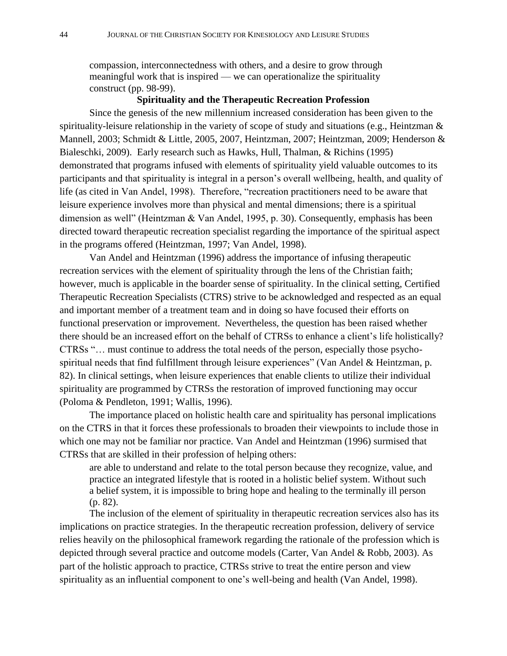compassion, interconnectedness with others, and a desire to grow through meaningful work that is inspired — we can operationalize the spirituality construct (pp. 98-99).

# **Spirituality and the Therapeutic Recreation Profession**

Since the genesis of the new millennium increased consideration has been given to the spirituality-leisure relationship in the variety of scope of study and situations (e.g., Heintzman & Mannell, 2003; Schmidt & Little, 2005, 2007, Heintzman, 2007; Heintzman, 2009; Henderson & Bialeschki, 2009). Early research such as Hawks, Hull, Thalman, & Richins (1995) demonstrated that programs infused with elements of spirituality yield valuable outcomes to its participants and that spirituality is integral in a person's overall wellbeing, health, and quality of life (as cited in Van Andel, 1998). Therefore, "recreation practitioners need to be aware that leisure experience involves more than physical and mental dimensions; there is a spiritual dimension as well" (Heintzman & Van Andel, 1995, p. 30). Consequently, emphasis has been directed toward therapeutic recreation specialist regarding the importance of the spiritual aspect in the programs offered (Heintzman, 1997; Van Andel, 1998).

Van Andel and Heintzman (1996) address the importance of infusing therapeutic recreation services with the element of spirituality through the lens of the Christian faith; however, much is applicable in the boarder sense of spirituality. In the clinical setting, Certified Therapeutic Recreation Specialists (CTRS) strive to be acknowledged and respected as an equal and important member of a treatment team and in doing so have focused their efforts on functional preservation or improvement. Nevertheless, the question has been raised whether there should be an increased effort on the behalf of CTRSs to enhance a client's life holistically? CTRSs "... must continue to address the total needs of the person, especially those psychospiritual needs that find fulfillment through leisure experiences" (Van Andel & Heintzman, p. 82). In clinical settings, when leisure experiences that enable clients to utilize their individual spirituality are programmed by CTRSs the restoration of improved functioning may occur (Poloma & Pendleton, 1991; Wallis, 1996).

The importance placed on holistic health care and spirituality has personal implications on the CTRS in that it forces these professionals to broaden their viewpoints to include those in which one may not be familiar nor practice. Van Andel and Heintzman (1996) surmised that CTRSs that are skilled in their profession of helping others:

are able to understand and relate to the total person because they recognize, value, and practice an integrated lifestyle that is rooted in a holistic belief system. Without such a belief system, it is impossible to bring hope and healing to the terminally ill person (p. 82).

The inclusion of the element of spirituality in therapeutic recreation services also has its implications on practice strategies. In the therapeutic recreation profession, delivery of service relies heavily on the philosophical framework regarding the rationale of the profession which is depicted through several practice and outcome models (Carter, Van Andel & Robb, 2003). As part of the holistic approach to practice, CTRSs strive to treat the entire person and view spirituality as an influential component to one's well-being and health (Van Andel, 1998).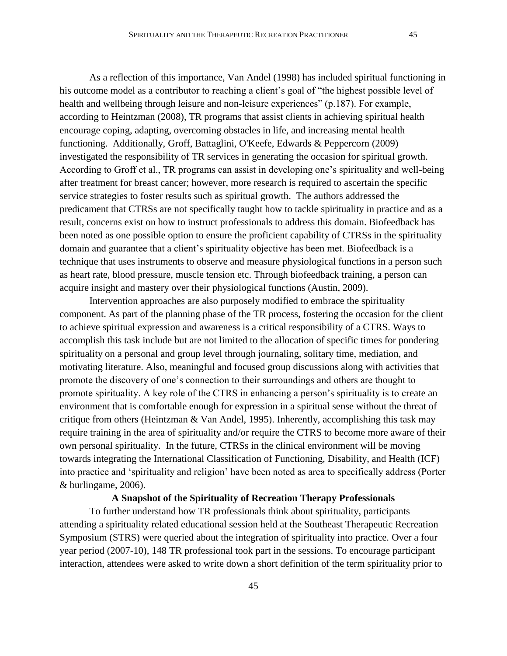As a reflection of this importance, Van Andel (1998) has included spiritual functioning in his outcome model as a contributor to reaching a client's goal of "the highest possible level of health and wellbeing through leisure and non-leisure experiences" (p.187). For example, according to Heintzman (2008), TR programs that assist clients in achieving spiritual health encourage coping, adapting, overcoming obstacles in life, and increasing mental health functioning. Additionally, Groff, Battaglini, O'Keefe, Edwards & Peppercorn (2009) investigated the responsibility of TR services in generating the occasion for spiritual growth. According to Groff et al., TR programs can assist in developing one's spirituality and well-being after treatment for breast cancer; however, more research is required to ascertain the specific service strategies to foster results such as spiritual growth. The authors addressed the predicament that CTRSs are not specifically taught how to tackle spirituality in practice and as a result, concerns exist on how to instruct professionals to address this domain. Biofeedback has been noted as one possible option to ensure the proficient capability of CTRSs in the spirituality domain and guarantee that a client's spirituality objective has been met. Biofeedback is a technique that uses instruments to observe and measure physiological functions in a person such as heart rate, blood pressure, muscle tension etc. Through biofeedback training, a person can acquire insight and mastery over their physiological functions (Austin, 2009).

Intervention approaches are also purposely modified to embrace the spirituality component. As part of the planning phase of the TR process, fostering the occasion for the client to achieve spiritual expression and awareness is a critical responsibility of a CTRS. Ways to accomplish this task include but are not limited to the allocation of specific times for pondering spirituality on a personal and group level through journaling, solitary time, mediation, and motivating literature. Also, meaningful and focused group discussions along with activities that promote the discovery of one's connection to their surroundings and others are thought to promote spirituality. A key role of the CTRS in enhancing a person's spirituality is to create an environment that is comfortable enough for expression in a spiritual sense without the threat of critique from others (Heintzman & Van Andel, 1995). Inherently, accomplishing this task may require training in the area of spirituality and/or require the CTRS to become more aware of their own personal spirituality. In the future, CTRSs in the clinical environment will be moving towards integrating the International Classification of Functioning, Disability, and Health (ICF) into practice and 'spirituality and religion' have been noted as area to specifically address (Porter & burlingame, 2006).

#### **A Snapshot of the Spirituality of Recreation Therapy Professionals**

To further understand how TR professionals think about spirituality, participants attending a spirituality related educational session held at the Southeast Therapeutic Recreation Symposium (STRS) were queried about the integration of spirituality into practice. Over a four year period (2007-10), 148 TR professional took part in the sessions. To encourage participant interaction, attendees were asked to write down a short definition of the term spirituality prior to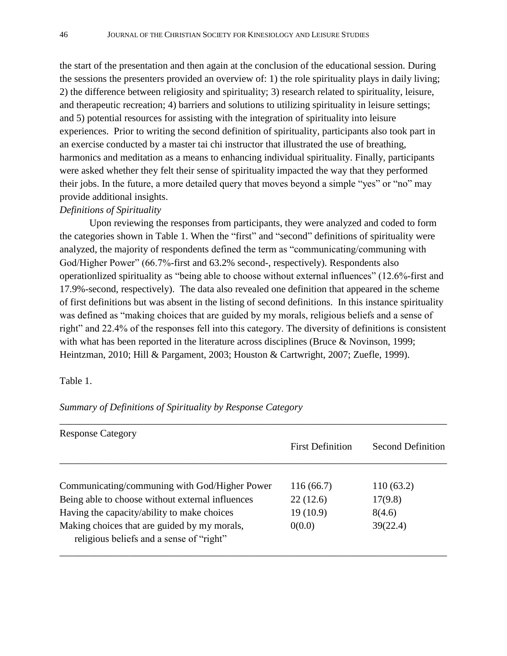the start of the presentation and then again at the conclusion of the educational session. During the sessions the presenters provided an overview of: 1) the role spirituality plays in daily living; 2) the difference between religiosity and spirituality; 3) research related to spirituality, leisure, and therapeutic recreation; 4) barriers and solutions to utilizing spirituality in leisure settings; and 5) potential resources for assisting with the integration of spirituality into leisure experiences. Prior to writing the second definition of spirituality, participants also took part in an exercise conducted by a master tai chi instructor that illustrated the use of breathing, harmonics and meditation as a means to enhancing individual spirituality. Finally, participants were asked whether they felt their sense of spirituality impacted the way that they performed their jobs. In the future, a more detailed query that moves beyond a simple "yes" or "no" may provide additional insights.

# *Definitions of Spirituality*

Upon reviewing the responses from participants, they were analyzed and coded to form the categories shown in Table 1. When the "first" and "second" definitions of spirituality were analyzed, the majority of respondents defined the term as "communicating/communing with God/Higher Power" (66.7%-first and 63.2% second-, respectively). Respondents also operationlized spirituality as "being able to choose without external influences" (12.6%-first and 17.9%-second, respectively). The data also revealed one definition that appeared in the scheme of first definitions but was absent in the listing of second definitions. In this instance spirituality was defined as "making choices that are guided by my morals, religious beliefs and a sense of right" and 22.4% of the responses fell into this category. The diversity of definitions is consistent with what has been reported in the literature across disciplines (Bruce & Novinson, 1999; Heintzman, 2010; Hill & Pargament, 2003; Houston & Cartwright, 2007; Zuefle, 1999).

### Table 1.

| <b>Response Category</b>                         |                         |                   |
|--------------------------------------------------|-------------------------|-------------------|
|                                                  | <b>First Definition</b> | Second Definition |
|                                                  |                         |                   |
| Communicating/communing with God/Higher Power    | 116(66.7)               | 110 (63.2)        |
| Being able to choose without external influences | 22(12.6)                | 17(9.8)           |
| Having the capacity/ability to make choices      | 19(10.9)                | 8(4.6)            |
| Making choices that are guided by my morals,     | 0(0.0)                  | 39(22.4)          |
| religious beliefs and a sense of "right"         |                         |                   |

*Summary of Definitions of Spirituality by Response Category*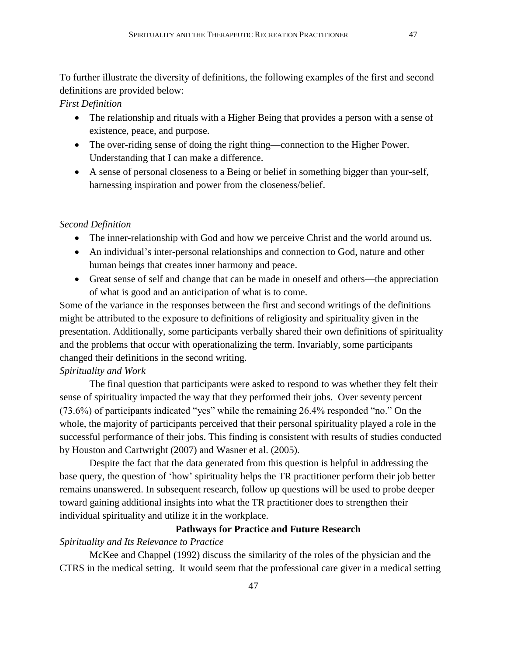To further illustrate the diversity of definitions, the following examples of the first and second definitions are provided below:

# *First Definition*

- The relationship and rituals with a Higher Being that provides a person with a sense of existence, peace, and purpose.
- The over-riding sense of doing the right thing—connection to the Higher Power. Understanding that I can make a difference.
- A sense of personal closeness to a Being or belief in something bigger than your-self, harnessing inspiration and power from the closeness/belief.

#### *Second Definition*

- The inner-relationship with God and how we perceive Christ and the world around us.
- An individual's inter-personal relationships and connection to God, nature and other human beings that creates inner harmony and peace.
- Great sense of self and change that can be made in oneself and others—the appreciation of what is good and an anticipation of what is to come.

Some of the variance in the responses between the first and second writings of the definitions might be attributed to the exposure to definitions of religiosity and spirituality given in the presentation. Additionally, some participants verbally shared their own definitions of spirituality and the problems that occur with operationalizing the term. Invariably, some participants changed their definitions in the second writing.

# *Spirituality and Work*

The final question that participants were asked to respond to was whether they felt their sense of spirituality impacted the way that they performed their jobs. Over seventy percent  $(73.6%)$  of participants indicated "yes" while the remaining  $26.4%$  responded "no." On the whole, the majority of participants perceived that their personal spirituality played a role in the successful performance of their jobs. This finding is consistent with results of studies conducted by Houston and Cartwright (2007) and Wasner et al. (2005).

Despite the fact that the data generated from this question is helpful in addressing the base query, the question of 'how' spirituality helps the TR practitioner perform their job better remains unanswered. In subsequent research, follow up questions will be used to probe deeper toward gaining additional insights into what the TR practitioner does to strengthen their individual spirituality and utilize it in the workplace.

# **Pathways for Practice and Future Research**

# *Spirituality and Its Relevance to Practice*

McKee and Chappel (1992) discuss the similarity of the roles of the physician and the CTRS in the medical setting. It would seem that the professional care giver in a medical setting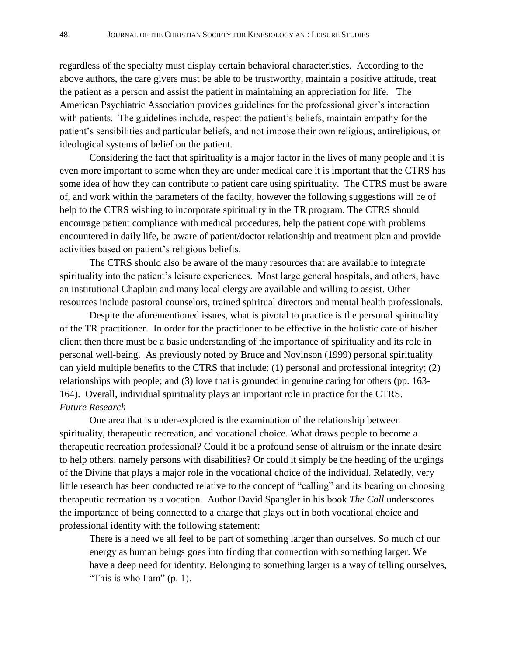regardless of the specialty must display certain behavioral characteristics. According to the above authors, the care givers must be able to be trustworthy, maintain a positive attitude, treat the patient as a person and assist the patient in maintaining an appreciation for life. The American Psychiatric Association provides guidelines for the professional giver's interaction with patients. The guidelines include, respect the patient's beliefs, maintain empathy for the patient's sensibilities and particular beliefs, and not impose their own religious, antireligious, or ideological systems of belief on the patient.

Considering the fact that spirituality is a major factor in the lives of many people and it is even more important to some when they are under medical care it is important that the CTRS has some idea of how they can contribute to patient care using spirituality. The CTRS must be aware of, and work within the parameters of the facilty, however the following suggestions will be of help to the CTRS wishing to incorporate spirituality in the TR program. The CTRS should encourage patient compliance with medical procedures, help the patient cope with problems encountered in daily life, be aware of patient/doctor relationship and treatment plan and provide activities based on patient's religious beliefts.

The CTRS should also be aware of the many resources that are available to integrate spirituality into the patient's leisure experiences. Most large general hospitals, and others, have an institutional Chaplain and many local clergy are available and willing to assist. Other resources include pastoral counselors, trained spiritual directors and mental health professionals.

Despite the aforementioned issues, what is pivotal to practice is the personal spirituality of the TR practitioner. In order for the practitioner to be effective in the holistic care of his/her client then there must be a basic understanding of the importance of spirituality and its role in personal well-being. As previously noted by Bruce and Novinson (1999) personal spirituality can yield multiple benefits to the CTRS that include: (1) personal and professional integrity; (2) relationships with people; and (3) love that is grounded in genuine caring for others (pp. 163- 164). Overall, individual spirituality plays an important role in practice for the CTRS. *Future Research*

One area that is under-explored is the examination of the relationship between spirituality, therapeutic recreation, and vocational choice. What draws people to become a therapeutic recreation professional? Could it be a profound sense of altruism or the innate desire to help others, namely persons with disabilities? Or could it simply be the heeding of the urgings of the Divine that plays a major role in the vocational choice of the individual. Relatedly, very little research has been conducted relative to the concept of "calling" and its bearing on choosing therapeutic recreation as a vocation. Author David Spangler in his book *The Call* underscores the importance of being connected to a charge that plays out in both vocational choice and professional identity with the following statement:

There is a need we all feel to be part of something larger than ourselves. So much of our energy as human beings goes into finding that connection with something larger. We have a deep need for identity. Belonging to something larger is a way of telling ourselves, "This is who I am"  $(p. 1)$ .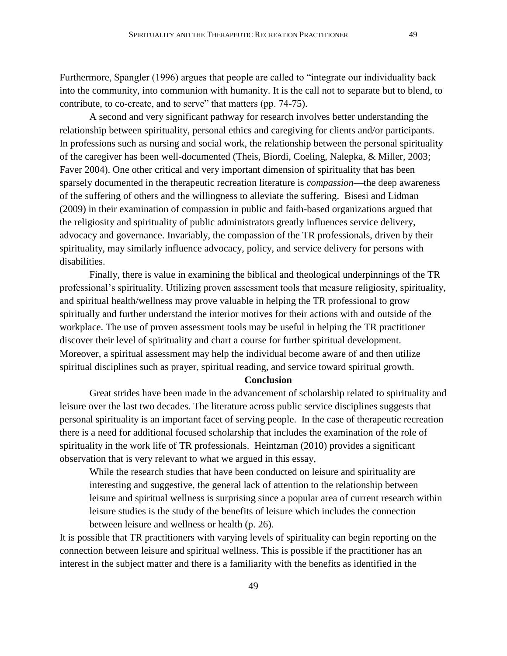Furthermore, Spangler (1996) argues that people are called to "integrate our individuality back into the community, into communion with humanity. It is the call not to separate but to blend, to contribute, to co-create, and to serve" that matters (pp. 74-75).

A second and very significant pathway for research involves better understanding the relationship between spirituality, personal ethics and caregiving for clients and/or participants. In professions such as nursing and social work, the relationship between the personal spirituality of the caregiver has been well-documented (Theis, Biordi, Coeling, Nalepka, & Miller, 2003; Faver 2004). One other critical and very important dimension of spirituality that has been sparsely documented in the therapeutic recreation literature is *compassion*—the deep awareness of the suffering of others and the willingness to alleviate the suffering. Bisesi and Lidman (2009) in their examination of compassion in public and faith-based organizations argued that the religiosity and spirituality of public administrators greatly influences service delivery, advocacy and governance. Invariably, the compassion of the TR professionals, driven by their spirituality, may similarly influence advocacy, policy, and service delivery for persons with disabilities.

Finally, there is value in examining the biblical and theological underpinnings of the TR professional's spirituality. Utilizing proven assessment tools that measure religiosity, spirituality, and spiritual health/wellness may prove valuable in helping the TR professional to grow spiritually and further understand the interior motives for their actions with and outside of the workplace. The use of proven assessment tools may be useful in helping the TR practitioner discover their level of spirituality and chart a course for further spiritual development. Moreover, a spiritual assessment may help the individual become aware of and then utilize spiritual disciplines such as prayer, spiritual reading, and service toward spiritual growth.

#### **Conclusion**

Great strides have been made in the advancement of scholarship related to spirituality and leisure over the last two decades. The literature across public service disciplines suggests that personal spirituality is an important facet of serving people. In the case of therapeutic recreation there is a need for additional focused scholarship that includes the examination of the role of spirituality in the work life of TR professionals. Heintzman (2010) provides a significant observation that is very relevant to what we argued in this essay,

While the research studies that have been conducted on leisure and spirituality are interesting and suggestive, the general lack of attention to the relationship between leisure and spiritual wellness is surprising since a popular area of current research within leisure studies is the study of the benefits of leisure which includes the connection between leisure and wellness or health (p. 26).

It is possible that TR practitioners with varying levels of spirituality can begin reporting on the connection between leisure and spiritual wellness. This is possible if the practitioner has an interest in the subject matter and there is a familiarity with the benefits as identified in the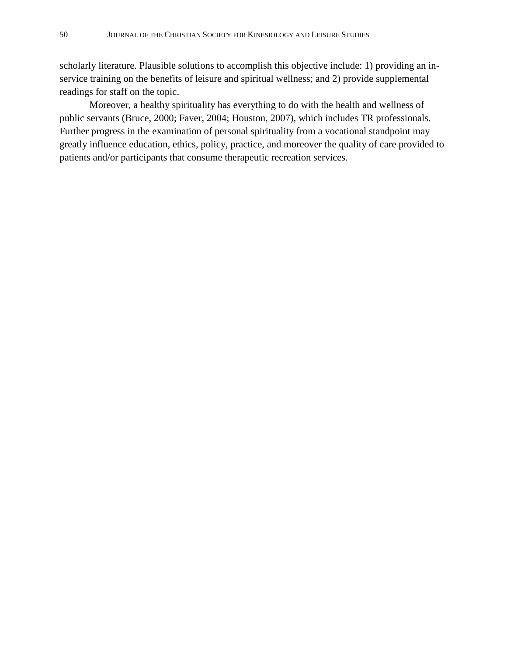scholarly literature. Plausible solutions to accomplish this objective include: 1) providing an inservice training on the benefits of leisure and spiritual wellness; and 2) provide supplemental readings for staff on the topic.

Moreover, a healthy spirituality has everything to do with the health and wellness of public servants (Bruce, 2000; Faver, 2004; Houston, 2007), which includes TR professionals. Further progress in the examination of personal spirituality from a vocational standpoint may greatly influence education, ethics, policy, practice, and moreover the quality of care provided to patients and/or participants that consume therapeutic recreation services.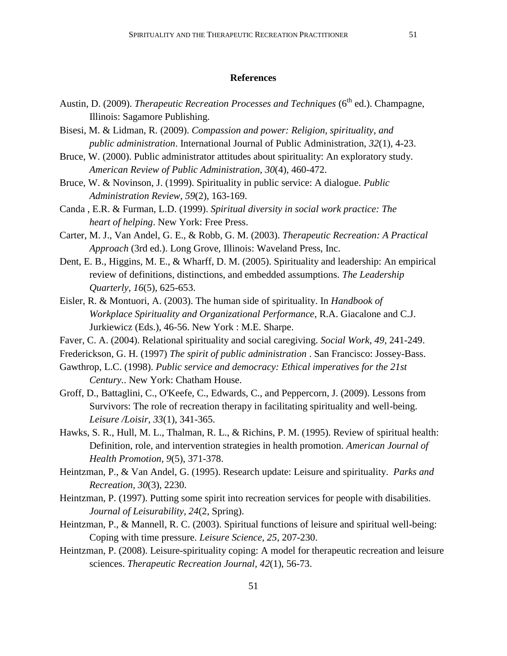#### **References**

- Austin, D. (2009). *Therapeutic Recreation Processes and Techniques* (6<sup>th</sup> ed.). Champagne, Illinois: Sagamore Publishing.
- Bisesi, M. & Lidman, R. (2009). *Compassion and power: Religion, spirituality, and public administration*. International Journal of Public Administration, *32*(1), 4-23.
- Bruce, W. (2000). Public administrator attitudes about spirituality: An exploratory study. *American Review of Public Administration, 30*(4), 460-472.
- Bruce, W. & Novinson, J. (1999). Spirituality in public service: A dialogue. *Public Administration Review*, *59*(2), 163-169.
- Canda , E.R. & Furman, L.D. (1999). *Spiritual diversity in social work practice: The heart of helping*. New York: Free Press.
- Carter, M. J., Van Andel, G. E., & Robb, G. M. (2003). *Therapeutic Recreation: A Practical Approach* (3rd ed.). Long Grove, Illinois: Waveland Press, Inc.
- Dent, E. B., Higgins, M. E., & Wharff, D. M. (2005). Spirituality and leadership: An empirical review of definitions, distinctions, and embedded assumptions. *The Leadership Quarterly, 16*(5), 625-653.
- Eisler, R. & Montuori, A. (2003). The human side of spirituality. In *Handbook of Workplace Spirituality and Organizational Performance*, R.A. Giacalone and C.J. Jurkiewicz (Eds.), 46-56. New York : M.E. Sharpe.
- Faver, C. A. (2004). Relational spirituality and social caregiving. *Social Work, 49*, 241-249.
- Frederickson, G. H. (1997) *The spirit of public administration* . San Francisco: Jossey-Bass.
- Gawthrop, L.C. (1998). *Public service and democracy: Ethical imperatives for the 21st Century.*. New York: Chatham House.
- Groff, D., Battaglini, C., O'Keefe, C., Edwards, C., and Peppercorn, J. (2009). Lessons from Survivors: The role of recreation therapy in facilitating spirituality and well-being. *Leisure /Loisir, 33*(1), 341-365.
- Hawks, S. R., Hull, M. L., Thalman, R. L., & Richins, P. M. (1995). Review of spiritual health: Definition, role, and intervention strategies in health promotion. *American Journal of Health Promotion, 9*(5), 371-378.
- Heintzman, P., & Van Andel, G. (1995). Research update: Leisure and spirituality. *Parks and Recreation, 30*(3), 2230.
- Heintzman, P. (1997). Putting some spirit into recreation services for people with disabilities. *Journal of Leisurability, 24*(2, Spring).
- Heintzman, P., & Mannell, R. C. (2003). Spiritual functions of leisure and spiritual well-being: Coping with time pressure. *Leisure Science, 25*, 207-230.
- Heintzman, P. (2008). Leisure-spirituality coping: A model for therapeutic recreation and leisure sciences. *Therapeutic Recreation Journal, 42*(1), 56-73.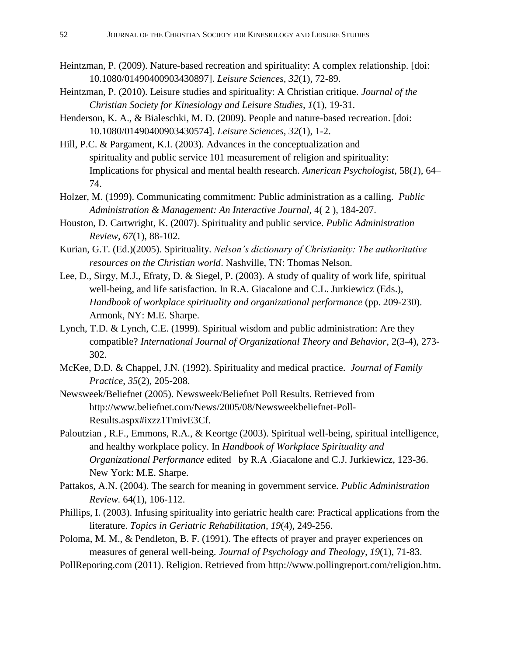- Heintzman, P. (2009). Nature-based recreation and spirituality: A complex relationship. [doi: 10.1080/01490400903430897]. *Leisure Sciences, 32*(1), 72-89.
- Heintzman, P. (2010). Leisure studies and spirituality: A Christian critique. *Journal of the Christian Society for Kinesiology and Leisure Studies, 1*(1), 19-31.
- Henderson, K. A., & Bialeschki, M. D. (2009). People and nature-based recreation. [doi: 10.1080/01490400903430574]. *Leisure Sciences, 32*(1), 1-2.
- Hill, P.C. & Pargament, K.I. (2003). Advances in the conceptualization and spirituality and public service 101 measurement of religion and spirituality: Implications for physical and mental health research. *American Psychologist,* 58(*1*), 64– 74.
- Holzer, M. (1999). Communicating commitment: Public administration as a calling. *Public Administration & Management: An Interactive Journal,* 4( 2 ), 184-207.
- Houston, D. Cartwright, K. (2007). Spirituality and public service. *Public Administration Review*, *67*(1), 88-102.
- Kurian, G.T. (Ed.)(2005). Spirituality. *Nelson's dictionary of Christianity: The authoritative resources on the Christian world*. Nashville, TN: Thomas Nelson.
- Lee, D., Sirgy, M.J., Efraty, D. & Siegel, P. (2003). A study of quality of work life, spiritual well-being, and life satisfaction. In R.A. Giacalone and C.L. Jurkiewicz (Eds.), *Handbook of workplace spirituality and organizational performance* (pp. 209-230). Armonk, NY: M.E. Sharpe.
- Lynch, T.D. & Lynch, C.E. (1999). Spiritual wisdom and public administration: Are they compatible? *International Journal of Organizational Theory and Behavior*, 2(3-4), 273-302.
- McKee, D.D. & Chappel, J.N. (1992). Spirituality and medical practice. *Journal of Family Practice*, *35*(2), 205-208.
- Newsweek/Beliefnet (2005). Newsweek/Beliefnet Poll Results. Retrieved from http://www.beliefnet.com/News/2005/08/Newsweekbeliefnet-Poll-Results.aspx#ixzz1TmivE3Cf.
- Paloutzian , R.F., Emmons, R.A., & Keortge (2003). Spiritual well-being, spiritual intelligence, and healthy workplace policy. In *Handbook of Workplace Spirituality and Organizational Performance* edited by R.A .Giacalone and C.J. Jurkiewicz, 123-36. New York: M.E. Sharpe.
- Pattakos, A.N. (2004). The search for meaning in government service. *Public Administration Review.* 64(1), 106-112.
- Phillips, I. (2003). Infusing spirituality into geriatric health care: Practical applications from the literature. *Topics in Geriatric Rehabilitation, 19*(4), 249-256.
- Poloma, M. M., & Pendleton, B. F. (1991). The effects of prayer and prayer experiences on measures of general well-being. *Journal of Psychology and Theology, 19*(1), 71-83.
- PollReporing.com (2011). Religion. Retrieved from http://www.pollingreport.com/religion.htm.